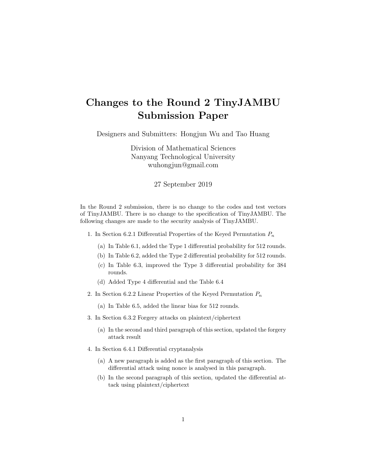## Changes to the Round 2 TinyJAMBU Submission Paper

Designers and Submitters: Hongjun Wu and Tao Huang

Division of Mathematical Sciences Nanyang Technological University wuhongjun@gmail.com

## 27 September 2019

In the Round 2 submission, there is no change to the codes and test vectors of TinyJAMBU. There is no change to the specification of TinyJAMBU. The following changes are made to the security analysis of TinyJAMBU.

- 1. In Section 6.2.1 Differential Properties of the Keyed Permutation  $P_n$ 
	- (a) In Table 6.1, added the Type 1 differential probability for 512 rounds.
	- (b) In Table 6.2, added the Type 2 differential probability for 512 rounds.
	- (c) In Table 6.3, improved the Type 3 differential probability for 384 rounds.
	- (d) Added Type 4 differential and the Table 6.4
- 2. In Section 6.2.2 Linear Properties of the Keyed Permutation  $P_n$ 
	- (a) In Table 6.5, added the linear bias for 512 rounds.
- 3. In Section 6.3.2 Forgery attacks on plaintext/ciphertext
	- (a) In the second and third paragraph of this section, updated the forgery attack result
- 4. In Section 6.4.1 Differential cryptanalysis
	- (a) A new paragraph is added as the first paragraph of this section. The differential attack using nonce is analysed in this paragraph.
	- (b) In the second paragraph of this section, updated the differential attack using plaintext/ciphertext